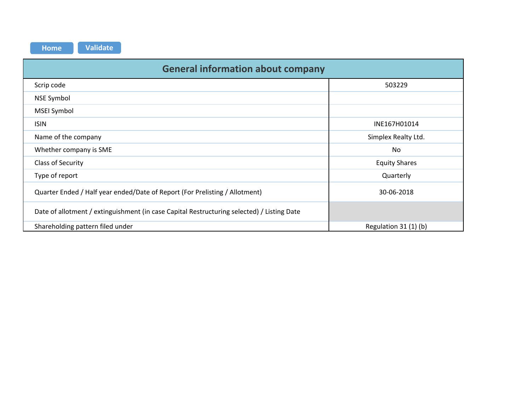| <b>General information about company</b>                                                   |                       |
|--------------------------------------------------------------------------------------------|-----------------------|
| Scrip code                                                                                 | 503229                |
| <b>NSE Symbol</b>                                                                          |                       |
| <b>MSEI Symbol</b>                                                                         |                       |
| <b>ISIN</b>                                                                                | INE167H01014          |
| Name of the company                                                                        | Simplex Realty Ltd.   |
| Whether company is SME                                                                     | No                    |
| Class of Security                                                                          | <b>Equity Shares</b>  |
| Type of report                                                                             | Quarterly             |
| Quarter Ended / Half year ended/Date of Report (For Prelisting / Allotment)                | 30-06-2018            |
| Date of allotment / extinguishment (in case Capital Restructuring selected) / Listing Date |                       |
| Shareholding pattern filed under                                                           | Regulation 31 (1) (b) |

**Home Validate**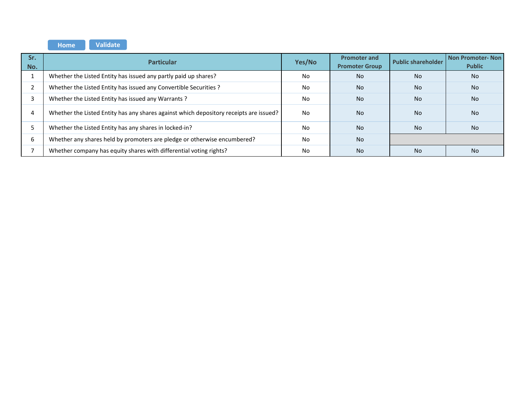**Home Validate** 

| Sr.<br>No. | <b>Particular</b>                                                                      | Yes/No | <b>Promoter and</b><br><b>Promoter Group</b> | <b>Public shareholder</b> | Non Promoter-Non<br><b>Public</b> |  |
|------------|----------------------------------------------------------------------------------------|--------|----------------------------------------------|---------------------------|-----------------------------------|--|
|            | Whether the Listed Entity has issued any partly paid up shares?                        | No     | <b>No</b>                                    | <b>No</b>                 | No.                               |  |
|            | Whether the Listed Entity has issued any Convertible Securities ?                      | No     | <b>No</b>                                    | <b>No</b>                 | <b>No</b>                         |  |
|            | Whether the Listed Entity has issued any Warrants?                                     | No     | <b>No</b>                                    | <b>No</b>                 | No.                               |  |
| 4          | Whether the Listed Entity has any shares against which depository receipts are issued? | No     | <b>No</b>                                    | <b>No</b>                 | No.                               |  |
|            | Whether the Listed Entity has any shares in locked-in?                                 | No     | <b>No</b>                                    | <b>No</b>                 | <b>No</b>                         |  |
| 6          | Whether any shares held by promoters are pledge or otherwise encumbered?               | No.    | <b>No</b>                                    |                           |                                   |  |
|            | Whether company has equity shares with differential voting rights?                     | No     | <b>No</b>                                    | <b>No</b>                 | No.                               |  |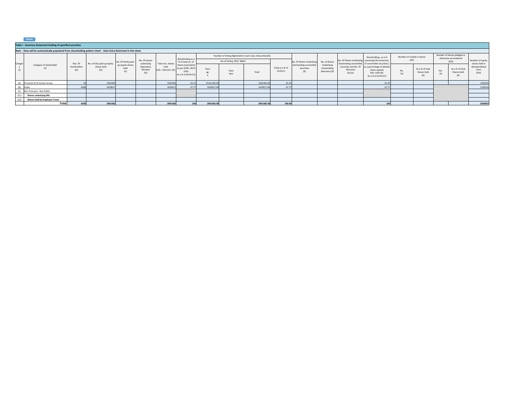|         | $\blacksquare$                                                                                                   |                       |                                                    |                                 |                                |                                 |                                                                        |                                                            |                           |            |                              |                                              |                                            |                        |                                                                                                                |                            |                                       |           |                                                     |                                    |
|---------|------------------------------------------------------------------------------------------------------------------|-----------------------|----------------------------------------------------|---------------------------------|--------------------------------|---------------------------------|------------------------------------------------------------------------|------------------------------------------------------------|---------------------------|------------|------------------------------|----------------------------------------------|--------------------------------------------|------------------------|----------------------------------------------------------------------------------------------------------------|----------------------------|---------------------------------------|-----------|-----------------------------------------------------|------------------------------------|
|         | Table I - Summary Statement holding of specified securities                                                      |                       |                                                    |                                 |                                |                                 |                                                                        |                                                            |                           |            |                              |                                              |                                            |                        |                                                                                                                |                            |                                       |           |                                                     |                                    |
|         | Note: Data will be automatically populated from shareholding pattern sheet - Data Entry Restricted in this sheet |                       |                                                    |                                 |                                |                                 |                                                                        |                                                            |                           |            |                              |                                              |                                            |                        |                                                                                                                |                            |                                       |           |                                                     |                                    |
|         |                                                                                                                  |                       |                                                    |                                 |                                |                                 | Shareholding as a                                                      | Number of Voting Rightsheld in each class ofsecurities(IX) |                           |            |                              |                                              |                                            |                        | Shareholding, as a %                                                                                           | Number of Locked in shares |                                       |           | Number of Shares pledged or<br>otherwise encumbered |                                    |
|         |                                                                                                                  | Nos. Of               | No. of fully paid up equity<br>shares held<br>(IV) | No. Of Partly paid-             | No. Of shares<br>underlying    | Total nos, shares               | % of total no. of                                                      |                                                            | No of Voting (XIV) Rights |            |                              | No. Of Shares Underlying                     | No. of Shares                              |                        | No. Of Shares Underlying assuming full conversion<br>Outstanding convertible of convertible securities (       | (XII)                      |                                       | (XIII)    |                                                     | Number of equity<br>shares held in |
| Categor | Category of shareholder                                                                                          | shareholders<br>(III) |                                                    | up equity shares<br>held<br>(V) | Depository<br>Receipts<br>(VI) | held<br>$(VII) = (IV)+(V)+(VI)$ | shares (calculated<br>as per SCRR, 1957)<br>(VII<br>As a % of (A+B+C2) | Class<br>eg.                                               | Class<br>eg:y             | Total      | Total as a % of<br>$(A+B+C)$ | Outstanding convertible<br>securities<br>(X) | Underlying<br>Outstanding<br>Warrants (Xi) | Warrants<br>$(Xi)$ (a) | securities and No. Of as a percentage of diluted<br>share capital)<br>$(XI) = (VII)+(X)$<br>As a % of (A+B+C2) | No.<br>(a)                 | As a % of total<br>Shares held<br>(b) | No<br>(a) | As a % of total<br>Shares held<br>(b)               | dematerialized<br>form<br>(XIV)    |
|         | (A) Promoter & Promoter Group                                                                                    |                       | 1562365                                            |                                 |                                | 1562365                         | 52.23                                                                  | 15.62.365.00                                               |                           | 1562365.00 | 52.23                        |                                              |                                            |                        | 52.23                                                                                                          |                            |                                       |           |                                                     | 1562365                            |
|         | (B) Public                                                                                                       | 4280                  | 1429017                                            |                                 |                                | 1429017                         | 4777                                                                   | 1429017.00                                                 |                           | 1429017.00 | 47.77                        |                                              |                                            |                        | 47.77                                                                                                          |                            |                                       |           |                                                     | 1256242                            |
|         | (C) Non Promoter- Non Public                                                                                     |                       |                                                    |                                 |                                |                                 |                                                                        |                                                            |                           |            |                              |                                              |                                            |                        |                                                                                                                |                            |                                       |           |                                                     |                                    |
| (C1)    | <b>Shares underlying DRs</b>                                                                                     |                       |                                                    |                                 |                                |                                 |                                                                        |                                                            |                           |            |                              |                                              |                                            |                        |                                                                                                                |                            |                                       |           |                                                     |                                    |
| (C2)    | Shares held by Employee Trusts                                                                                   |                       |                                                    |                                 |                                |                                 |                                                                        |                                                            |                           |            |                              |                                              |                                            |                        |                                                                                                                |                            |                                       |           |                                                     |                                    |
|         | Total                                                                                                            | 4290                  | 2991382                                            |                                 |                                | 2991382                         | 100                                                                    | 2991382.00                                                 |                           | 2991382.00 | 100.00                       |                                              |                                            |                        |                                                                                                                |                            |                                       |           |                                                     | 2818607                            |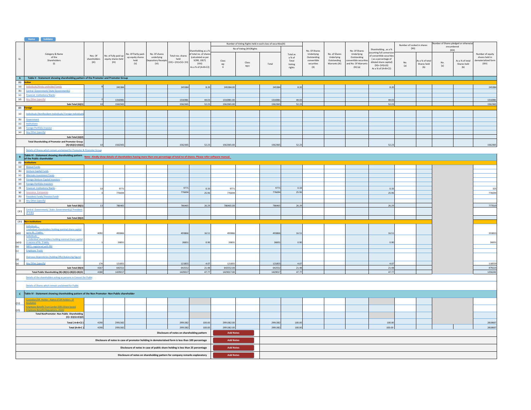|            | Home Validate                                                                                                                                                                                                                     |                        |                            |                     |                                                                                                    |                                             |                                            |                  |                                                              |         |          |                             |               |                             |                                               |                            |                 |     |                                       |                    |
|------------|-----------------------------------------------------------------------------------------------------------------------------------------------------------------------------------------------------------------------------------|------------------------|----------------------------|---------------------|----------------------------------------------------------------------------------------------------|---------------------------------------------|--------------------------------------------|------------------|--------------------------------------------------------------|---------|----------|-----------------------------|---------------|-----------------------------|-----------------------------------------------|----------------------------|-----------------|-----|---------------------------------------|--------------------|
|            |                                                                                                                                                                                                                                   |                        |                            |                     |                                                                                                    |                                             |                                            |                  | Number of Voting Rights held in each class of securities(IX) |         |          |                             |               |                             |                                               | Number of Locked in shares |                 |     | Number of Shares pledged or otherwise |                    |
|            |                                                                                                                                                                                                                                   |                        |                            |                     |                                                                                                    |                                             |                                            |                  | No of Voting (XIV) Rights                                    |         |          |                             |               |                             | Shareholding . as a %                         | (XII)                      |                 |     | encumbered<br>(XIII)                  |                    |
|            | Category & Name                                                                                                                                                                                                                   |                        |                            | No. Of Partly paid- | No. Of shares                                                                                      |                                             | hareholding as a %<br>f total no. of share |                  |                                                              |         | Total as | No. Of Shares<br>Underlying | No. of Shares | No. Of Shares<br>Underlying | ssuming full conversio                        |                            |                 |     |                                       | Number of equity   |
| Sr.        | of the                                                                                                                                                                                                                            | Nos Of<br>shareholders | No. of fully paid up       | up equity shares    | underlying                                                                                         | Total nos shares<br>held                    | (calculated as per                         |                  |                                                              |         | a % of   | Outstanding                 | Underlying    | Outstanding                 | of convertible securities                     |                            |                 |     |                                       | shares held in     |
|            | Shareholders                                                                                                                                                                                                                      | (III)                  | equity shares held<br>(IV) | held                | epository Receipts                                                                                 | $(VII) = (IV)+(V)+(VI)$                     | SCRR, 1957)                                | Class            | Class                                                        |         | Total    | convertible                 | Outstanding   | onvertible securitie        | (as a percentage of<br>diluted share capital) | No.                        | As a % of total | No. | As a % of total                       | ematerialized form |
|            | (1)                                                                                                                                                                                                                               |                        |                            | (V)                 | (VI)                                                                                               |                                             | (VIII)<br>As a % of (A+B+C2)               | eg:              | eg:y                                                         | Total   | Voting   | securities                  | Warrants (Xi) | and No. Of Warrants         | $(XI) = (VII)+(X)$                            | (a)                        | Shares held     | (a) | Shares held                           | (XIV)              |
|            |                                                                                                                                                                                                                                   |                        |                            |                     |                                                                                                    |                                             |                                            | $\mathbf{x}$     |                                                              |         | rights   | (X)                         |               | (Xi) (a)                    | As a % of (A+B+C2)                            |                            | (b)             |     | (b)                                   |                    |
|            |                                                                                                                                                                                                                                   |                        |                            |                     |                                                                                                    |                                             |                                            |                  |                                                              |         |          |                             |               |                             |                                               |                            |                 |     |                                       |                    |
|            | A Table II - Statement showing shareholding pattern of the Promoter and Promoter Group                                                                                                                                            |                        |                            |                     |                                                                                                    |                                             |                                            |                  |                                                              |         |          |                             |               |                             |                                               |                            |                 |     |                                       |                    |
|            | $(1)$ Indian                                                                                                                                                                                                                      |                        |                            |                     |                                                                                                    |                                             |                                            |                  |                                                              |         |          |                             |               |                             |                                               |                            |                 |     |                                       |                    |
| (a)        | Individuals/Hindu undivided Family                                                                                                                                                                                                |                        | 245384                     |                     |                                                                                                    | 245384                                      | 8.20                                       | 245384.00        |                                                              | 245384  | 8.20     |                             |               |                             | 8.20                                          |                            |                 |     |                                       | 245384             |
| (b)        | Central Government/ State Government(s)                                                                                                                                                                                           |                        |                            |                     |                                                                                                    |                                             |                                            |                  |                                                              |         |          |                             |               |                             |                                               |                            |                 |     |                                       |                    |
| (c)        | <b>Financial Institutions/Banks</b>                                                                                                                                                                                               |                        |                            |                     |                                                                                                    |                                             |                                            |                  |                                                              |         |          |                             |               |                             |                                               |                            |                 |     |                                       |                    |
| (d)        | Any Other (specify)                                                                                                                                                                                                               |                        | 131698                     |                     |                                                                                                    | 1316981                                     | 44.03                                      | 1316981.00       |                                                              | 1316981 | 44.03    |                             |               |                             | 44.03                                         |                            |                 |     |                                       | 1316981            |
|            | Sub-Total (A)(1)                                                                                                                                                                                                                  | 10                     | 1562365                    |                     |                                                                                                    | 1562365                                     | 52.23                                      | 1562365.00       |                                                              | 1562365 | 52.23    |                             |               |                             | 52.23                                         |                            |                 |     |                                       | 1562365            |
|            | (2) Foreign                                                                                                                                                                                                                       |                        |                            |                     |                                                                                                    |                                             |                                            |                  |                                                              |         |          |                             |               |                             |                                               |                            |                 |     |                                       |                    |
|            |                                                                                                                                                                                                                                   |                        |                            |                     |                                                                                                    |                                             |                                            |                  |                                                              |         |          |                             |               |                             |                                               |                            |                 |     |                                       |                    |
| (a)        | Individuals (NonResident Individuals/ Foreign Individual                                                                                                                                                                          |                        |                            |                     |                                                                                                    |                                             |                                            |                  |                                                              |         |          |                             |               |                             |                                               |                            |                 |     |                                       |                    |
| (b)        | Government                                                                                                                                                                                                                        |                        |                            |                     |                                                                                                    |                                             |                                            |                  |                                                              |         |          |                             |               |                             |                                               |                            |                 |     |                                       |                    |
| (c)        | Institutions                                                                                                                                                                                                                      |                        |                            |                     |                                                                                                    |                                             |                                            |                  |                                                              |         |          |                             |               |                             |                                               |                            |                 |     |                                       |                    |
| (d)        | <b>Foreign Portfolio Investor</b>                                                                                                                                                                                                 |                        |                            |                     |                                                                                                    |                                             |                                            |                  |                                                              |         |          |                             |               |                             |                                               |                            |                 |     |                                       |                    |
| (e)        | Any Other (specify)                                                                                                                                                                                                               |                        |                            |                     |                                                                                                    |                                             |                                            |                  |                                                              |         |          |                             |               |                             |                                               |                            |                 |     |                                       |                    |
|            | Sub-Total (A)(2)                                                                                                                                                                                                                  |                        |                            |                     |                                                                                                    |                                             |                                            |                  |                                                              |         |          |                             |               |                             |                                               |                            |                 |     |                                       |                    |
|            | <b>Total Shareholding of Promoter and Promoter Group</b>                                                                                                                                                                          |                        |                            |                     |                                                                                                    |                                             |                                            |                  |                                                              |         |          |                             |               |                             |                                               |                            |                 |     |                                       |                    |
|            | $(A)=(A)(1)+(A)(2)$                                                                                                                                                                                                               |                        | 1562365                    |                     |                                                                                                    | 1562365                                     | 52.23                                      | 1562365.00       |                                                              | 1562365 | 52.23    |                             |               |                             | 52.23                                         |                            |                 |     |                                       | 1562365            |
|            | Details of Shares which remain unclaimed for Promoter & Promoter Group                                                                                                                                                            |                        |                            |                     |                                                                                                    |                                             |                                            |                  |                                                              |         |          |                             |               |                             |                                               |                            |                 |     |                                       |                    |
|            | Table III - Statement showing shareholding pattern<br>of the Bublic changholder and the Statement of Note : Kindly show details of shareholders having more than one percentage of total no of shares. Please refer software manu |                        |                            |                     |                                                                                                    |                                             |                                            |                  |                                                              |         |          |                             |               |                             |                                               |                            |                 |     |                                       |                    |
|            | of the Public shareholder                                                                                                                                                                                                         |                        |                            |                     |                                                                                                    |                                             |                                            |                  |                                                              |         |          |                             |               |                             |                                               |                            |                 |     |                                       |                    |
|            | of the Publi<br>(1) Institutions                                                                                                                                                                                                  |                        |                            |                     |                                                                                                    |                                             |                                            |                  |                                                              |         |          |                             |               |                             |                                               |                            |                 |     |                                       |                    |
| (a)        | <b>Mutual Funds</b>                                                                                                                                                                                                               |                        |                            |                     |                                                                                                    |                                             |                                            |                  |                                                              |         |          |                             |               |                             |                                               |                            |                 |     |                                       |                    |
| (b)        | <b>Venture Capital Funds</b>                                                                                                                                                                                                      |                        |                            |                     |                                                                                                    |                                             |                                            |                  |                                                              |         |          |                             |               |                             |                                               |                            |                 |     |                                       |                    |
| (c)        | Alternate Investment Funds                                                                                                                                                                                                        |                        |                            |                     |                                                                                                    |                                             |                                            |                  |                                                              |         |          |                             |               |                             |                                               |                            |                 |     |                                       |                    |
| (d)        | <b>Foreign Venture Capital Investors</b>                                                                                                                                                                                          |                        |                            |                     |                                                                                                    |                                             |                                            |                  |                                                              |         |          |                             |               |                             |                                               |                            |                 |     |                                       |                    |
| (e)        | <b>Foreign Portfolio Investors</b>                                                                                                                                                                                                |                        |                            |                     |                                                                                                    |                                             |                                            |                  |                                                              |         |          |                             |               |                             |                                               |                            |                 |     |                                       |                    |
| (f)        | <b>Financial Institutions/Banks</b>                                                                                                                                                                                               |                        | 9771                       |                     |                                                                                                    | 9771                                        | 0.33                                       | 9771             |                                                              | 9771    | 0.33     |                             |               |                             | 0.33                                          |                            |                 |     |                                       | 325                |
| (g)        | Insurance Companies                                                                                                                                                                                                               |                        | 776694                     |                     |                                                                                                    | 776694                                      | 25.96                                      | 776694           |                                                              | 776694  | 25.96    |                             |               |                             | 25.96                                         |                            |                 |     |                                       | 776694             |
| (h)        | <b>Provident Funds/ Pension Funds</b>                                                                                                                                                                                             |                        |                            |                     |                                                                                                    |                                             |                                            |                  |                                                              |         |          |                             |               |                             |                                               |                            |                 |     |                                       |                    |
| (i)        | Any Other (specify)                                                                                                                                                                                                               |                        |                            |                     |                                                                                                    |                                             |                                            |                  |                                                              |         |          |                             |               |                             |                                               |                            |                 |     |                                       |                    |
|            | Sub-Total (B)(1)                                                                                                                                                                                                                  | 13                     | 786465                     |                     |                                                                                                    | 786465                                      | 26.29                                      | 786465.00        |                                                              | 786465  | 26.29    |                             |               |                             | 26.29                                         |                            |                 |     |                                       | 777019             |
| (2)        | Central Government/ State Government(s)/ President                                                                                                                                                                                |                        |                            |                     |                                                                                                    |                                             |                                            |                  |                                                              |         |          |                             |               |                             |                                               |                            |                 |     |                                       |                    |
|            | of India                                                                                                                                                                                                                          |                        |                            |                     |                                                                                                    |                                             |                                            |                  |                                                              |         |          |                             |               |                             |                                               |                            |                 |     |                                       |                    |
|            | Sub-Total (B)(2)                                                                                                                                                                                                                  |                        |                            |                     |                                                                                                    |                                             |                                            |                  |                                                              |         |          |                             |               |                             |                                               |                            |                 |     |                                       |                    |
|            | (3) Non-institutions                                                                                                                                                                                                              |                        |                            |                     |                                                                                                    |                                             |                                            |                  |                                                              |         |          |                             |               |                             |                                               |                            |                 |     |                                       |                    |
|            | Individuals -<br>Lindividual shareholders holding nominal share capital                                                                                                                                                           |                        |                            |                     |                                                                                                    |                                             |                                            |                  |                                                              |         |          |                             |               |                             |                                               |                            |                 |     |                                       |                    |
| (a(i))     | up to Rs. 2 lakhs.                                                                                                                                                                                                                | 4092                   | 493866                     |                     |                                                                                                    | 493866                                      | 16.51                                      | 493866           |                                                              | 493866  | 16.51    |                             |               |                             | 16.51                                         |                            |                 |     |                                       | 333833             |
|            | Individuals -                                                                                                                                                                                                                     |                        |                            |                     |                                                                                                    |                                             |                                            |                  |                                                              |         |          |                             |               |                             |                                               |                            |                 |     |                                       |                    |
|            | ii. Individual shareholders holding nominal share capital<br>in excess of Rs. 2 lakhs                                                                                                                                             |                        | 26831                      |                     |                                                                                                    | 26831                                       | 0.90                                       |                  |                                                              |         | 0.90     |                             |               |                             | 0.90                                          |                            |                 |     |                                       |                    |
| (a(ii))    | <b>NBFCs registered with RBI</b>                                                                                                                                                                                                  |                        |                            |                     |                                                                                                    |                                             |                                            | 26831            |                                                              | 26831   |          |                             |               |                             |                                               |                            |                 |     |                                       | 26831              |
| (b)<br>(c) | <b>Employee Trusts</b>                                                                                                                                                                                                            |                        |                            |                     |                                                                                                    |                                             |                                            |                  |                                                              |         |          |                             |               |                             |                                               |                            |                 |     |                                       |                    |
|            |                                                                                                                                                                                                                                   |                        |                            |                     |                                                                                                    |                                             |                                            |                  |                                                              |         |          |                             |               |                             |                                               |                            |                 |     |                                       |                    |
|            | Overseas Depositories (holding DRs) (balancing figure)                                                                                                                                                                            |                        |                            |                     |                                                                                                    |                                             |                                            |                  |                                                              |         |          |                             |               |                             |                                               |                            |                 |     |                                       |                    |
| (d)<br>(e) | Any Other (specify)                                                                                                                                                                                                               | 174                    | 121855                     |                     |                                                                                                    | 121855                                      | 4.07                                       | 121855           |                                                              | 121855  | 4.07     |                             |               |                             | 4.07                                          |                            |                 |     |                                       | 118559             |
|            | Sub-Total (B)(3)                                                                                                                                                                                                                  | 4267                   | 642552                     |                     |                                                                                                    | 642552                                      | 21.48                                      | 642552.00        |                                                              | 642552  | 21.48    |                             |               |                             | 21.48                                         |                            |                 |     |                                       | 479223             |
|            | Total Public Shareholding (B)=(B)(1)+(B)(2)+(B)(3)                                                                                                                                                                                | 4280                   | 1429017                    |                     |                                                                                                    | 1429017                                     | 47.77                                      | 1429017.00       |                                                              | 1429017 | 47.77    |                             |               |                             | 47.77                                         |                            |                 |     |                                       | 1256242            |
|            | Details of the shareholders acting as persons in Concert for Public                                                                                                                                                               |                        |                            |                     |                                                                                                    |                                             |                                            |                  |                                                              |         |          |                             |               |                             |                                               |                            |                 |     |                                       |                    |
|            |                                                                                                                                                                                                                                   |                        |                            |                     |                                                                                                    |                                             |                                            |                  |                                                              |         |          |                             |               |                             |                                               |                            |                 |     |                                       |                    |
|            | Details of Shares which remain unclaimed for Public                                                                                                                                                                               |                        |                            |                     |                                                                                                    |                                             |                                            |                  |                                                              |         |          |                             |               |                             |                                               |                            |                 |     |                                       |                    |
|            |                                                                                                                                                                                                                                   |                        |                            |                     |                                                                                                    |                                             |                                            |                  |                                                              |         |          |                             |               |                             |                                               |                            |                 |     |                                       |                    |
|            | C Table IV - Statement showing shareholding pattern of the Non Promoter- Non Public shareholder                                                                                                                                   |                        |                            |                     |                                                                                                    |                                             |                                            |                  |                                                              |         |          |                             |               |                             |                                               |                            |                 |     |                                       |                    |
|            |                                                                                                                                                                                                                                   |                        |                            |                     |                                                                                                    |                                             |                                            |                  |                                                              |         |          |                             |               |                             |                                               |                            |                 |     |                                       |                    |
| (1)        | Custodian/DR_Holder - Name of DR Holders (If<br>Available)                                                                                                                                                                        |                        |                            |                     |                                                                                                    |                                             |                                            |                  |                                                              |         |          |                             |               |                             |                                               |                            |                 |     |                                       |                    |
|            | <b>Employee Benefit Trust (under SEBI (Share based)</b>                                                                                                                                                                           |                        |                            |                     |                                                                                                    |                                             |                                            |                  |                                                              |         |          |                             |               |                             |                                               |                            |                 |     |                                       |                    |
| (2)        | <b>Employee Benefit) Regulations, 2014)</b>                                                                                                                                                                                       |                        |                            |                     |                                                                                                    |                                             |                                            |                  |                                                              |         |          |                             |               |                             |                                               |                            |                 |     |                                       |                    |
|            | <b>Total NonPromoter- Non Public Shareholding</b>                                                                                                                                                                                 |                        |                            |                     |                                                                                                    |                                             |                                            |                  |                                                              |         |          |                             |               |                             |                                               |                            |                 |     |                                       |                    |
|            | $(C) = (C)(1)+(C)(2)$                                                                                                                                                                                                             |                        |                            |                     |                                                                                                    |                                             |                                            |                  |                                                              |         |          |                             |               |                             |                                               |                            |                 |     |                                       |                    |
|            | Total (A+B+C2                                                                                                                                                                                                                     | 4290                   | 2991382                    |                     |                                                                                                    | 2991382                                     | 100.00                                     | 2991382.00       |                                                              | 2991382 | 100.00   |                             |               |                             | 100.00                                        |                            |                 |     |                                       | 2818607            |
|            | Total (A+B+C                                                                                                                                                                                                                      | 4290                   | 2991382                    |                     |                                                                                                    | 2991382                                     | 100.00                                     | 2991382.00       |                                                              | 2991382 | 100.00   |                             |               |                             | 100.00                                        |                            |                 |     |                                       | 2818607            |
|            |                                                                                                                                                                                                                                   |                        |                            |                     |                                                                                                    | Disclosure of notes on shareholding pattern |                                            | <b>Add Notes</b> |                                                              |         |          |                             |               |                             |                                               |                            |                 |     |                                       |                    |
|            |                                                                                                                                                                                                                                   |                        |                            |                     |                                                                                                    |                                             |                                            |                  |                                                              |         |          |                             |               |                             |                                               |                            |                 |     |                                       |                    |
|            |                                                                                                                                                                                                                                   |                        |                            |                     | Disclosure of notes in case of promoter holiding in dematerialsed form is less than 100 percentage |                                             |                                            | <b>Add Notes</b> |                                                              |         |          |                             |               |                             |                                               |                            |                 |     |                                       |                    |
|            |                                                                                                                                                                                                                                   |                        |                            |                     |                                                                                                    |                                             |                                            |                  |                                                              |         |          |                             |               |                             |                                               |                            |                 |     |                                       |                    |
|            |                                                                                                                                                                                                                                   |                        |                            |                     | Disclosure of notes in case of public share holding is less than 25 percentage                     |                                             |                                            | <b>Add Notes</b> |                                                              |         |          |                             |               |                             |                                               |                            |                 |     |                                       |                    |
|            | Disclosure of notes on shareholding pattern for company remarks explanatory                                                                                                                                                       |                        |                            |                     |                                                                                                    |                                             |                                            |                  | <b>Add Notes</b>                                             |         |          |                             |               |                             |                                               |                            |                 |     |                                       |                    |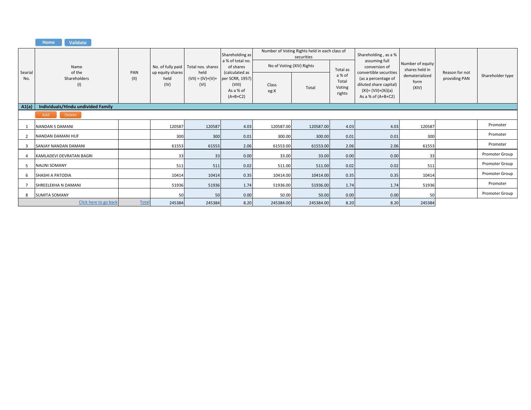|                |                                    |              |                                  |                                             | Shareholding as                                                                                         |                           | Number of Voting Rights held in each class of<br>securities |                                     | Shareholding, as a %                                                                                                      |                                    |                                 |                  |  |
|----------------|------------------------------------|--------------|----------------------------------|---------------------------------------------|---------------------------------------------------------------------------------------------------------|---------------------------|-------------------------------------------------------------|-------------------------------------|---------------------------------------------------------------------------------------------------------------------------|------------------------------------|---------------------------------|------------------|--|
|                | Name<br>of the                     | PAN          |                                  | No. of fully paid Total nos. shares<br>held | a % of total no.<br>of shares<br>(calculated as<br>per SCRR, 1957)<br>(VIII)<br>As a % of<br>$(A+B+C2)$ | No of Voting (XIV) Rights |                                                             | Total as                            | assuming full<br>conversion of                                                                                            | Number of equity<br>shares held in | Reason for not<br>providing PAN |                  |  |
| Searial<br>No. | Shareholders<br>(1)                | (11)         | up equity shares<br>held<br>(IV) | $(VII) = (IV)+(V)+$<br>(VI)                 |                                                                                                         | Class<br>eg:X             | Total                                                       | a % of<br>Total<br>Voting<br>rights | convertible securities<br>(as a percentage of<br>diluted share capital)<br>$(XI) = (VII)+(Xi)(a)$<br>As a % of $(A+B+C2)$ | dematerialized<br>form<br>(XIV)    |                                 | Shareholder type |  |
| A1(a)          | Individuals/Hindu undivided Family |              |                                  |                                             |                                                                                                         |                           |                                                             |                                     |                                                                                                                           |                                    |                                 |                  |  |
|                | Add<br>Delete                      |              |                                  |                                             |                                                                                                         |                           |                                                             |                                     |                                                                                                                           |                                    |                                 |                  |  |
|                | <b>NANDAN S DAMANI</b>             |              | 120587                           | 120587                                      | 4.03                                                                                                    | 120587.00                 | 120587.00                                                   | 4.03                                | 4.03                                                                                                                      | 120587                             |                                 | Promoter         |  |
|                | NANDAN DAMANI HUF                  |              | 300                              | 300                                         | 0.01                                                                                                    | 300.00                    | 300.00                                                      | 0.01                                | 0.01                                                                                                                      | 300                                |                                 | Promoter         |  |
| 3              | SANJAY NANDAN DAMANI               |              | 61553                            | 61553                                       | 2.06                                                                                                    | 61553.00                  | 61553.00                                                    | 2.06                                | 2.06                                                                                                                      | 61553                              |                                 | Promoter         |  |
|                | KAMLADEVI DEVRATAN BAGRI           |              | 33                               | 33                                          | 0.00                                                                                                    | 33.00                     | 33.00                                                       | 0.00                                | 0.00                                                                                                                      | 33                                 |                                 | Promoter Group   |  |
|                | <b>NALINI SOMANY</b>               |              | 511                              | 511                                         | 0.02                                                                                                    | 511.00                    | 511.00                                                      | 0.02                                | 0.02                                                                                                                      | 511                                |                                 | Promoter Group   |  |
| 6              | SHASHI A PATODIA                   |              | 10414                            | 10414                                       | 0.35                                                                                                    | 10414.00                  | 10414.00                                                    | 0.35                                | 0.35                                                                                                                      | 10414                              |                                 | Promoter Group   |  |
|                | SHREELEKHA N DAMANI                |              | 51936                            | 51936                                       | 1.74                                                                                                    | 51936.00                  | 51936.00                                                    | 1.74                                | 1.74                                                                                                                      | 51936                              |                                 | Promoter         |  |
| 8              | <b>SUMITA SOMANY</b>               |              | 50                               | 50                                          | 0.00                                                                                                    | 50.00                     | 50.00                                                       | 0.00                                | 0.00                                                                                                                      | 50                                 |                                 | Promoter Group   |  |
|                | Click here to go back              | <b>Total</b> | 245384                           | 245384                                      | 8.20                                                                                                    | 245384.00                 | 245384.00                                                   | 8.20                                | 8.20                                                                                                                      | 245384                             |                                 |                  |  |

**Home Validate**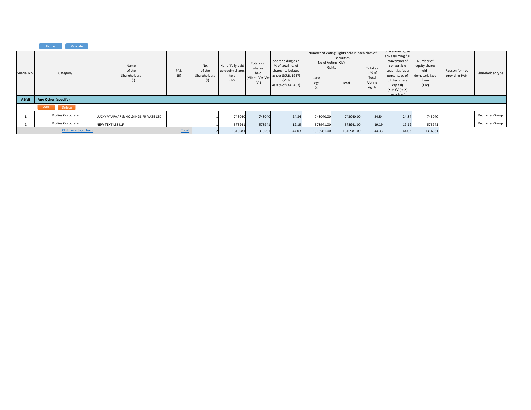|             | Validate<br>Home        |                                       |              |                                                    |                                                       |                                      |                                                                                                                                          |                        |                                                                                            |                                                 |                                                                                                                                                                               |                                                                          |                                 |                  |
|-------------|-------------------------|---------------------------------------|--------------|----------------------------------------------------|-------------------------------------------------------|--------------------------------------|------------------------------------------------------------------------------------------------------------------------------------------|------------------------|--------------------------------------------------------------------------------------------|-------------------------------------------------|-------------------------------------------------------------------------------------------------------------------------------------------------------------------------------|--------------------------------------------------------------------------|---------------------------------|------------------|
| Searial No. | Category                | Name<br>of the<br>Shareholders<br>(1) | PAN<br>(II)  | No.<br>of the<br>Shareholders<br>$\left( 1\right)$ | No. of fully paid<br>up equity shares<br>held<br>(IV) | Total nos.<br>shares<br>held<br>(VI) | Shareholding as a<br>% of total no. of<br>shares (calculated<br>$(VII) = (IV)+(V)+$ as per SCRR, 1957)<br>(VIII)<br>As a % of $(A+B+C2)$ | Rights<br>Class<br>eg: | Number of Voting Rights held in each class of<br>securities<br>No of Voting (XIV)<br>Total | Total as<br>a % of<br>Total<br>Voting<br>rights | shareholding, as<br>a % assuming full<br>conversion of<br>convertible<br>securities (as a<br>percentage of<br>diluted share<br>capital)<br>$(XI) = (VII)+(X)$<br>$As a \% of$ | Number of<br>equity shares<br>held in<br>dematerialized<br>form<br>(XIV) | Reason for not<br>providing PAN | Shareholder type |
| A1(d)       | Any Other (specify)     |                                       |              |                                                    |                                                       |                                      |                                                                                                                                          |                        |                                                                                            |                                                 |                                                                                                                                                                               |                                                                          |                                 |                  |
|             | Add<br>Delete           |                                       |              |                                                    |                                                       |                                      |                                                                                                                                          |                        |                                                                                            |                                                 |                                                                                                                                                                               |                                                                          |                                 |                  |
|             | <b>Bodies Corporate</b> | LUCKY VYAPAAR & HOLDINGS PRIVATE LTD  |              |                                                    | 743040                                                | 743040                               | 24.84                                                                                                                                    | 743040.00              | 743040.00                                                                                  | 24.84                                           | 24.84                                                                                                                                                                         | 743040                                                                   |                                 | Promoter Group   |
|             | <b>Bodies Corporate</b> | NEW TEXTILES LLP                      |              |                                                    | 573941                                                | 573941                               | 19.19                                                                                                                                    | 573941.00              | 573941.00                                                                                  | 19.19                                           | 19.19                                                                                                                                                                         | 573941                                                                   |                                 | Promoter Group   |
|             | Click here to go back   |                                       | <b>Total</b> |                                                    | 1316981                                               | 1316981                              | 44.03                                                                                                                                    | 1316981.00             | 1316981.00                                                                                 | 44.03                                           | 44.03                                                                                                                                                                         | 1316981                                                                  |                                 |                  |